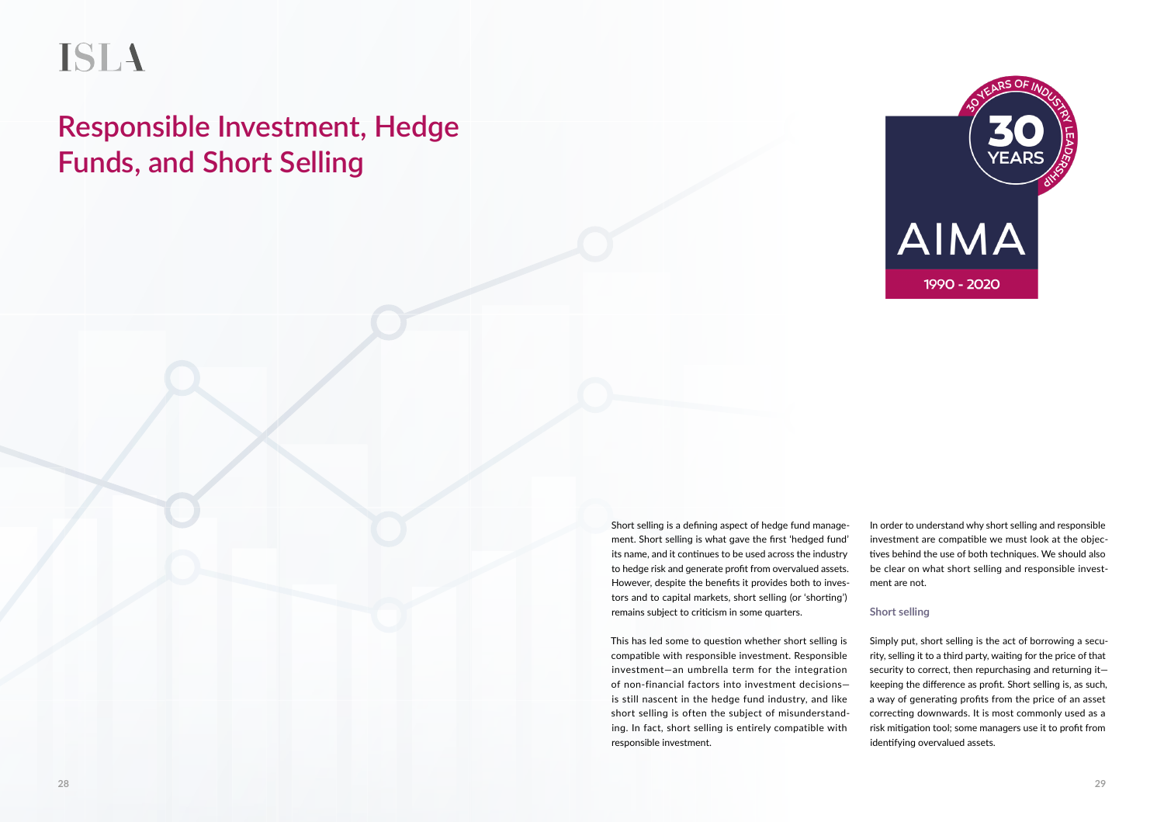# **ISLA**

# **Responsible Investment, Hedge Funds, and Short Selling**



Short selling is a defining aspect of hedge fund management. Short selling is what gave the first 'hedged fund' its name, and it continues to be used across the industry to hedge risk and generate profit from overvalued assets. However, despite the benefits it provides both to investors and to capital markets, short selling (or 'shorting') remains subject to criticism in some quarters.

This has led some to question whether short selling is compatible with responsible investment. Responsible investment—an umbrella term for the integration of non-financial factors into investment decisions is still nascent in the hedge fund industry, and like short selling is often the subject of misunderstanding. In fact, short selling is entirely compatible with responsible investment.

In order to understand why short selling and responsible investment are compatible we must look at the objectives behind the use of both techniques. We should also be clear on what short selling and responsible investment are not.

## **Short selling**

Simply put, short selling is the act of borrowing a security, selling it to a third party, waiting for the price of that security to correct, then repurchasing and returning it keeping the difference as profit. Short selling is, as such, a way of generating profits from the price of an asset correcting downwards. It is most commonly used as a risk mitigation tool; some managers use it to profit from identifying overvalued assets.